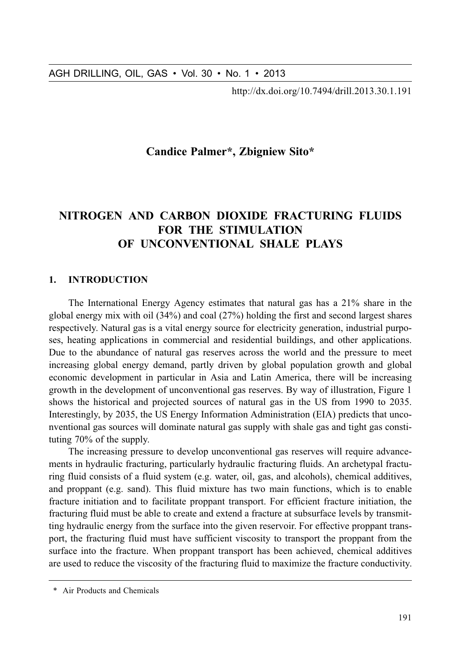http://dx.doi.org/10.7494/drill.2013.30.1.191

# **Candice Palmer\*, Zbigniew Sito\***

# NITROGEN AND CARBON DIOXIDE FRACTURING FLUIDS **FOR THE STIMULATION** OF IINCONVENTIONAL SHALE PLAYS

#### $\mathbf{1}$ **INTRODUCTION**

The International Energy Agency estimates that natural gas has a 21% share in the global energy mix with oil  $(34\%)$  and coal  $(27\%)$  holding the first and second largest shares respectively. Natural gas is a vital energy source for electricity generation, industrial purposes, heating applications in commercial and residential buildings, and other applications. Due to the abundance of natural gas reserves across the world and the pressure to meet increasing global energy demand, partly driven by global population growth and global economic development in particular in Asia and Latin America, there will be increasing growth in the development of unconventional gas reserves. By way of illustration, Figure 1 shows the historical and projected sources of natural gas in the US from 1990 to 2035. Interestingly, by 2035, the US Energy Information Administration (EIA) predicts that unconventional gas sources will dominate natural gas supply with shale gas and tight gas constituting 70% of the supply.

The increasing pressure to develop unconventional gas reserves will require advancements in hydraulic fracturing, particularly hydraulic fracturing fluids. An archetypal fracturing fluid consists of a fluid system (e.g. water, oil, gas, and alcohols), chemical additives, and proppant (e.g. sand). This fluid mixture has two main functions, which is to enable fracture initiation and to facilitate proppant transport. For efficient fracture initiation, the fracturing fluid must be able to create and extend a fracture at subsurface levels by transmitting hydraulic energy from the surface into the given reservoir. For effective proppant transport, the fracturing fluid must have sufficient viscosity to transport the proppant from the surface into the fracture. When proppant transport has been achieved, chemical additives are used to reduce the viscosity of the fracturing fluid to maximize the fracture conductivity.

<sup>\*</sup> Air Products and Chemicals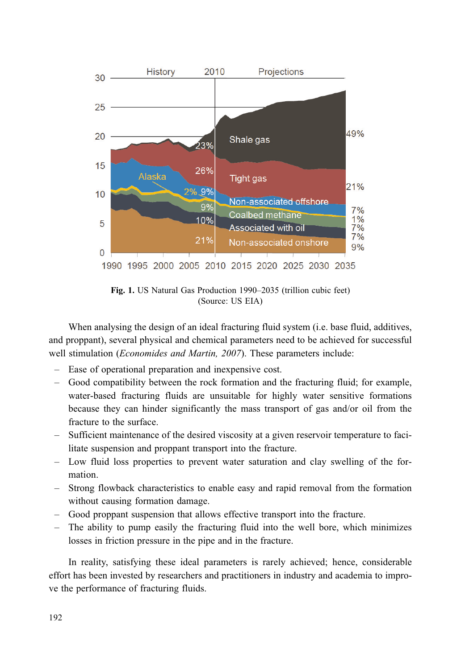

Fig. 1. US Natural Gas Production 1990–2035 (trillion cubic feet) (Source: US EIA)

When analysing the design of an ideal fracturing fluid system (*i.e.* base fluid, additives, and proppant), several physical and chemical parameters need to be achieved for successful well stimulation (*Economides and Martin, 2007*). These parameters include:

- Ease of operational preparation and inexpensive cost.
- Good compatibility between the rock formation and the fracturing fluid; for example, water-based fracturing fluids are unsuitable for highly water sensitive formations because they can hinder significantly the mass transport of gas and/or oil from the fracture to the surface.
- Sufficient maintenance of the desired viscosity at a given reservoir temperature to facilitate suspension and proppant transport into the fracture.
- Low fluid loss properties to prevent water saturation and clay swelling of the formation.
- Strong flowback characteristics to enable easy and rapid removal from the formation without causing formation damage.
- Good proppant suspension that allows effective transport into the fracture.
- The ability to pump easily the fracturing fluid into the well bore, which minimizes losses in friction pressure in the pipe and in the fracture.

In reality, satisfying these ideal parameters is rarely achieved; hence, considerable effort has been invested by researchers and practitioners in industry and academia to improve the performance of fracturing fluids.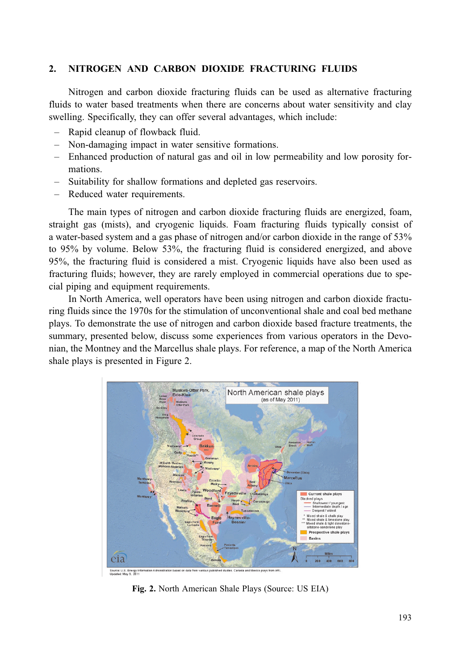#### $2.$ NITROGEN AND CARBON DIOXIDE FRACTURING FLUIDS

Nitrogen and carbon dioxide fracturing fluids can be used as alternative fracturing fluids to water based treatments when there are concerns about water sensitivity and clay swelling. Specifically, they can offer several advantages, which include:

- Rapid cleanup of flowback fluid.
- Non-damaging impact in water sensitive formations.
- Enhanced production of natural gas and oil in low permeability and low porosity formations.
- Suitability for shallow formations and depleted gas reservoirs.
- Reduced water requirements.

The main types of nitrogen and carbon dioxide fracturing fluids are energized, foam, straight gas (mists), and cryogenic liquids. Foam fracturing fluids typically consist of a water-based system and a gas phase of nitrogen and/or carbon dioxide in the range of 53% to 95% by volume. Below 53%, the fracturing fluid is considered energized, and above 95%, the fracturing fluid is considered a mist. Cryogenic liquids have also been used as fracturing fluids; however, they are rarely employed in commercial operations due to special piping and equipment requirements.

In North America, well operators have been using nitrogen and carbon dioxide fracturing fluids since the 1970s for the stimulation of unconventional shale and coal bed methane plays. To demonstrate the use of nitrogen and carbon dioxide based fracture treatments, the summary, presented below, discuss some experiences from various operators in the Devonian, the Montney and the Marcellus shale plays. For reference, a map of the North America shale plays is presented in Figure 2.



Fig. 2. North American Shale Plays (Source: US EIA)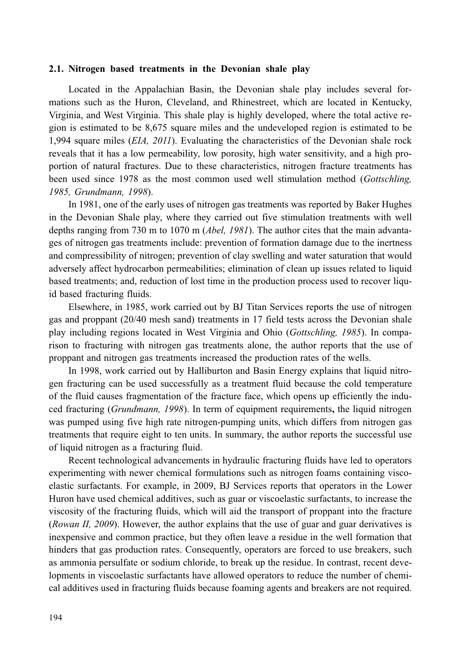# 2.1. Nitrogen based treatments in the Devonian shale play

Located in the Appalachian Basin, the Devonian shale play includes several formations such as the Huron, Cleveland, and Rhinestreet, which are located in Kentucky, Virginia, and West Virginia. This shale play is highly developed, where the total active region is estimated to be 8,675 square miles and the undeveloped region is estimated to be 1.994 square miles (*EIA, 2011*). Evaluating the characteristics of the Devonian shale rock reveals that it has a low permeability, low porosity, high water sensitivity, and a high proportion of natural fractures. Due to these characteristics, nitrogen fracture treatments has been used since 1978 as the most common used well stimulation method (Gottschling, 1985, Grundmann, 1998).

In 1981, one of the early uses of nitrogen gas treatments was reported by Baker Hughes in the Devonian Shale play, where they carried out five stimulation treatments with well depths ranging from 730 m to 1070 m (*Abel, 1981*). The author cites that the main advantages of nitrogen gas treatments include: prevention of formation damage due to the inertness and compressibility of nitrogen; prevention of clay swelling and water saturation that would adversely affect hydrocarbon permeabilities; elimination of clean up issues related to liquid based treatments; and, reduction of lost time in the production process used to recover liquid based fracturing fluids.

Elsewhere, in 1985, work carried out by BJ Titan Services reports the use of nitrogen gas and proppant (20/40 mesh sand) treatments in 17 field tests across the Devonian shale play including regions located in West Virginia and Ohio (Gottschling, 1985). In comparison to fracturing with nitrogen gas treatments alone, the author reports that the use of proppant and nitrogen gas treatments increased the production rates of the wells.

In 1998, work carried out by Halliburton and Basin Energy explains that liquid nitrogen fracturing can be used successfully as a treatment fluid because the cold temperature of the fluid causes fragmentation of the fracture face, which opens up efficiently the induced fracturing (*Grundmann*, 1998). In term of equipment requirements, the liquid nitrogen was pumped using five high rate nitrogen-pumping units, which differs from nitrogen gas treatments that require eight to ten units. In summary, the author reports the successful use of liquid nitrogen as a fracturing fluid.

Recent technological advancements in hydraulic fracturing fluids have led to operators experimenting with newer chemical formulations such as nitrogen foams containing viscoelastic surfactants. For example, in 2009, BJ Services reports that operators in the Lower Huron have used chemical additives, such as guar or viscoelastic surfactants, to increase the viscosity of the fracturing fluids, which will aid the transport of proppant into the fracture (Rowan II, 2009). However, the author explains that the use of guar and guar derivatives is inexpensive and common practice, but they often leave a residue in the well formation that hinders that gas production rates. Consequently, operators are forced to use breakers, such as ammonia persulfate or sodium chloride, to break up the residue. In contrast, recent developments in viscoelastic surfactants have allowed operators to reduce the number of chemical additives used in fracturing fluids because foaming agents and breakers are not required.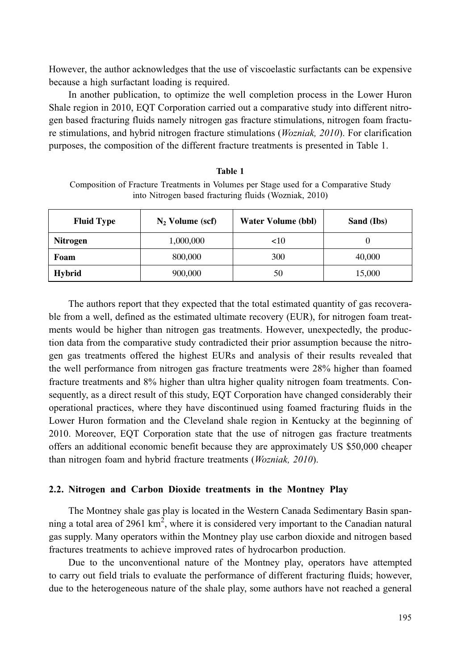However, the author acknowledges that the use of viscoelastic surfactants can be expensive because a high surfactant loading is required.

In another publication, to optimize the well completion process in the Lower Huron Shale region in 2010, EQT Corporation carried out a comparative study into different nitrogen based fracturing fluids namely nitrogen gas fracture stimulations, nitrogen foam fracture stimulations, and hybrid nitrogen fracture stimulations (Wozniak, 2010). For clarification purposes, the composition of the different fracture treatments is presented in Table 1.

| Composition of Fracture Treatments in Volumes per Stage used for a Comparative Study |  |  |  |
|--------------------------------------------------------------------------------------|--|--|--|
| into Nitrogen based fracturing fluids (Wozniak, 2010)                                |  |  |  |
|                                                                                      |  |  |  |

Table 1

| <b>Fluid Type</b> | $N_2$ Volume (scf) | <b>Water Volume (bbl)</b> | Sand (Ibs) |
|-------------------|--------------------|---------------------------|------------|
| <b>Nitrogen</b>   | 1,000,000          | ${10}$                    |            |
| Foam              | 800,000            | 300                       | 40,000     |
| Hybrid            | 900,000            | 50                        | 15,000     |

The authors report that they expected that the total estimated quantity of gas recoverable from a well, defined as the estimated ultimate recovery (EUR), for nitrogen foam treatments would be higher than nitrogen gas treatments. However, unexpectedly, the production data from the comparative study contradicted their prior assumption because the nitrogen gas treatments offered the highest EURs and analysis of their results revealed that the well performance from nitrogen gas fracture treatments were 28% higher than foamed fracture treatments and 8% higher than ultra higher quality nitrogen foam treatments. Consequently, as a direct result of this study, EQT Corporation have changed considerably their operational practices, where they have discontinued using foamed fracturing fluids in the Lower Huron formation and the Cleveland shale region in Kentucky at the beginning of 2010. Moreover, EQT Corporation state that the use of nitrogen gas fracture treatments offers an additional economic benefit because they are approximately US \$50,000 cheaper than nitrogen foam and hybrid fracture treatments (Wozniak, 2010).

#### 2.2. Nitrogen and Carbon Dioxide treatments in the Montney Play

The Montney shale gas play is located in the Western Canada Sedimentary Basin spanning a total area of 2961  $km^2$ , where it is considered very important to the Canadian natural gas supply. Many operators within the Montney play use carbon dioxide and nitrogen based fractures treatments to achieve improved rates of hydrocarbon production.

Due to the unconventional nature of the Montney play, operators have attempted to carry out field trials to evaluate the performance of different fracturing fluids; however, due to the heterogeneous nature of the shale play, some authors have not reached a general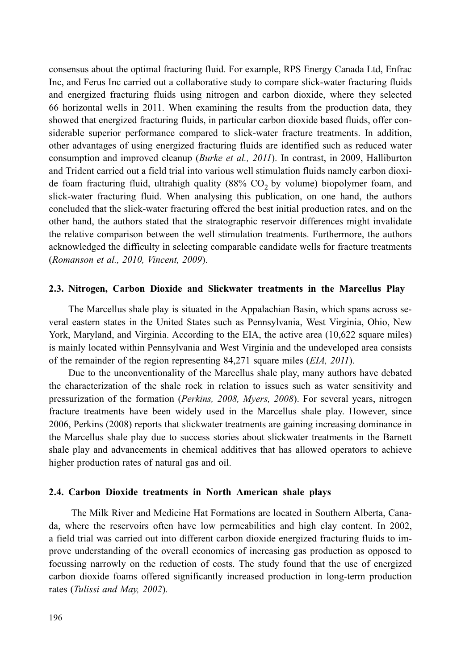consensus about the optimal fracturing fluid. For example, RPS Energy Canada Ltd, Enfrac Inc, and Ferus Inc carried out a collaborative study to compare slick-water fracturing fluids and energized fracturing fluids using nitrogen and carbon dioxide, where they selected 66 horizontal wells in 2011. When examining the results from the production data, they showed that energized fracturing fluids, in particular carbon dioxide based fluids, offer considerable superior performance compared to slick-water fracture treatments. In addition, other advantages of using energized fracturing fluids are identified such as reduced water consumption and improved cleanup (Burke et al., 2011). In contrast, in 2009, Halliburton and Trident carried out a field trial into various well stimulation fluids namely carbon dioxide foam fracturing fluid, ultrahigh quality (88%  $CO<sub>2</sub>$  by volume) biopolymer foam, and slick-water fracturing fluid. When analysing this publication, on one hand, the authors concluded that the slick-water fracturing offered the best initial production rates, and on the other hand, the authors stated that the stratographic reservoir differences might invalidate the relative comparison between the well stimulation treatments. Furthermore, the authors acknowledged the difficulty in selecting comparable candidate wells for fracture treatments (Romanson et al., 2010, Vincent, 2009).

### 2.3. Nitrogen, Carbon Dioxide and Slickwater treatments in the Marcellus Play

The Marcellus shale play is situated in the Appalachian Basin, which spans across several eastern states in the United States such as Pennsylvania, West Virginia, Ohio, New York, Maryland, and Virginia. According to the EIA, the active area (10,622 square miles) is mainly located within Pennsylvania and West Virginia and the undeveloped area consists of the remainder of the region representing 84,271 square miles (*EIA*, 2011).

Due to the unconventionality of the Marcellus shale play, many authors have debated the characterization of the shale rock in relation to issues such as water sensitivity and pressurization of the formation (Perkins, 2008, Myers, 2008). For several years, nitrogen fracture treatments have been widely used in the Marcellus shale play. However, since 2006, Perkins (2008) reports that slickwater treatments are gaining increasing dominance in the Marcellus shale play due to success stories about slickwater treatments in the Barnett shale play and advancements in chemical additives that has allowed operators to achieve higher production rates of natural gas and oil.

### 2.4. Carbon Dioxide treatments in North American shale plays

The Milk River and Medicine Hat Formations are located in Southern Alberta, Canada, where the reservoirs often have low permeabilities and high clay content. In 2002, a field trial was carried out into different carbon dioxide energized fracturing fluids to improve understanding of the overall economics of increasing gas production as opposed to focussing narrowly on the reduction of costs. The study found that the use of energized carbon dioxide foams offered significantly increased production in long-term production rates (Tulissi and May, 2002).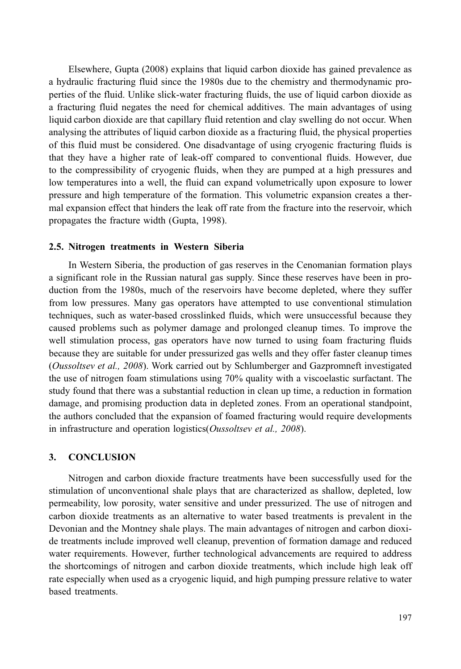Elsewhere, Gupta (2008) explains that liquid carbon dioxide has gained prevalence as a hydraulic fracturing fluid since the 1980s due to the chemistry and thermodynamic properties of the fluid. Unlike slick-water fracturing fluids, the use of liquid carbon dioxide as a fracturing fluid negates the need for chemical additives. The main advantages of using liquid carbon dioxide are that capillary fluid retention and clay swelling do not occur. When analysing the attributes of liquid carbon dioxide as a fracturing fluid, the physical properties of this fluid must be considered. One disadvantage of using cryogenic fracturing fluids is that they have a higher rate of leak-off compared to conventional fluids. However, due to the compressibility of cryogenic fluids, when they are pumped at a high pressures and low temperatures into a well, the fluid can expand volumetrically upon exposure to lower pressure and high temperature of the formation. This volumetric expansion creates a thermal expansion effect that hinders the leak off rate from the fracture into the reservoir, which propagates the fracture width (Gupta, 1998).

### 2.5. Nitrogen treatments in Western Siberia

In Western Siberia, the production of gas reserves in the Cenomanian formation plays a significant role in the Russian natural gas supply. Since these reserves have been in production from the 1980s, much of the reservoirs have become depleted, where they suffer from low pressures. Many gas operators have attempted to use conventional stimulation techniques, such as water-based crosslinked fluids, which were unsuccessful because they caused problems such as polymer damage and prolonged cleanup times. To improve the well stimulation process, gas operators have now turned to using foam fracturing fluids because they are suitable for under pressurized gas wells and they offer faster cleanup times (Oussoltsev et al., 2008). Work carried out by Schlumberger and Gazpromneft investigated the use of nitrogen foam stimulations using 70% quality with a viscoelastic surfactant. The study found that there was a substantial reduction in clean up time, a reduction in formation damage, and promising production data in depleted zones. From an operational standpoint, the authors concluded that the expansion of foamed fracturing would require developments in infrastructure and operation logistics(Oussoltsev et al., 2008).

#### 3. **CONCLUSION**

Nitrogen and carbon dioxide fracture treatments have been successfully used for the stimulation of unconventional shale plays that are characterized as shallow, depleted, low permeability, low porosity, water sensitive and under pressurized. The use of nitrogen and carbon dioxide treatments as an alternative to water based treatments is prevalent in the Devonian and the Montney shale plays. The main advantages of nitrogen and carbon dioxide treatments include improved well cleanup, prevention of formation damage and reduced water requirements. However, further technological advancements are required to address the shortcomings of nitrogen and carbon dioxide treatments, which include high leak off rate especially when used as a cryogenic liquid, and high pumping pressure relative to water based treatments.